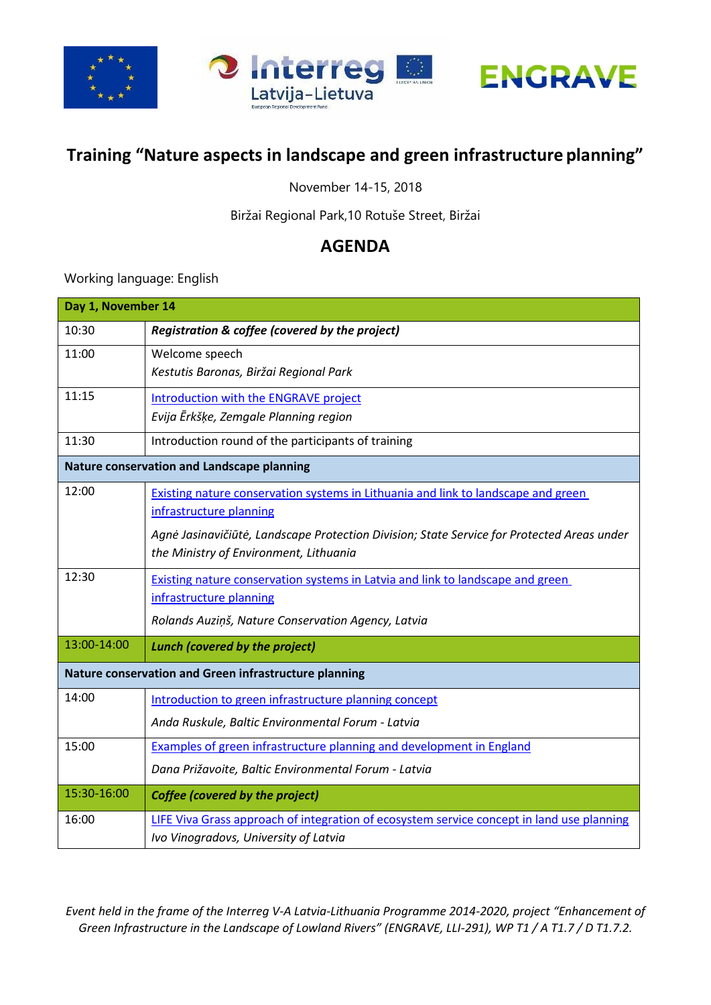

## **Training "Nature aspects in landscape and green infrastructure planning"**

November 14-15, 2018

Biržai Regional Park,10 Rotuše Street, Biržai

## **AGENDA**

Working language: English

| Day 1, November 14                                    |                                                                                                                                                                                                            |  |
|-------------------------------------------------------|------------------------------------------------------------------------------------------------------------------------------------------------------------------------------------------------------------|--|
| 10:30                                                 | Registration & coffee (covered by the project)                                                                                                                                                             |  |
| 11:00                                                 | Welcome speech<br>Kestutis Baronas, Biržai Regional Park                                                                                                                                                   |  |
| 11:15                                                 | Introduction with the ENGRAVE project<br>Evija Ērkšķe, Zemgale Planning region                                                                                                                             |  |
| 11:30                                                 | Introduction round of the participants of training                                                                                                                                                         |  |
| Nature conservation and Landscape planning            |                                                                                                                                                                                                            |  |
| 12:00                                                 | Existing nature conservation systems in Lithuania and link to landscape and green<br>infrastructure planning<br>Agnė Jasinavičiūtė, Landscape Protection Division; State Service for Protected Areas under |  |
|                                                       | the Ministry of Environment, Lithuania                                                                                                                                                                     |  |
| 12:30                                                 | Existing nature conservation systems in Latvia and link to landscape and green<br>infrastructure planning<br>Rolands Auziņš, Nature Conservation Agency, Latvia                                            |  |
| 13:00-14:00                                           | <b>Lunch (covered by the project)</b>                                                                                                                                                                      |  |
| Nature conservation and Green infrastructure planning |                                                                                                                                                                                                            |  |
| 14:00                                                 | Introduction to green infrastructure planning concept                                                                                                                                                      |  |
|                                                       | Anda Ruskule, Baltic Environmental Forum - Latvia                                                                                                                                                          |  |
| 15:00                                                 | Examples of green infrastructure planning and development in England                                                                                                                                       |  |
|                                                       | Dana Prižavoite, Baltic Environmental Forum - Latvia                                                                                                                                                       |  |
| 15:30-16:00                                           | <b>Coffee (covered by the project)</b>                                                                                                                                                                     |  |
| 16:00                                                 | LIFE Viva Grass approach of integration of ecosystem service concept in land use planning<br>Ivo Vinogradovs, University of Latvia                                                                         |  |

*Event held in the frame of the Interreg V-A Latvia-Lithuania Programme 2014-2020, project "Enhancement of Green Infrastructure in the Landscape of Lowland Rivers" (ENGRAVE, LLI-291), WP T1 / A T1.7 / D T1.7.2.*